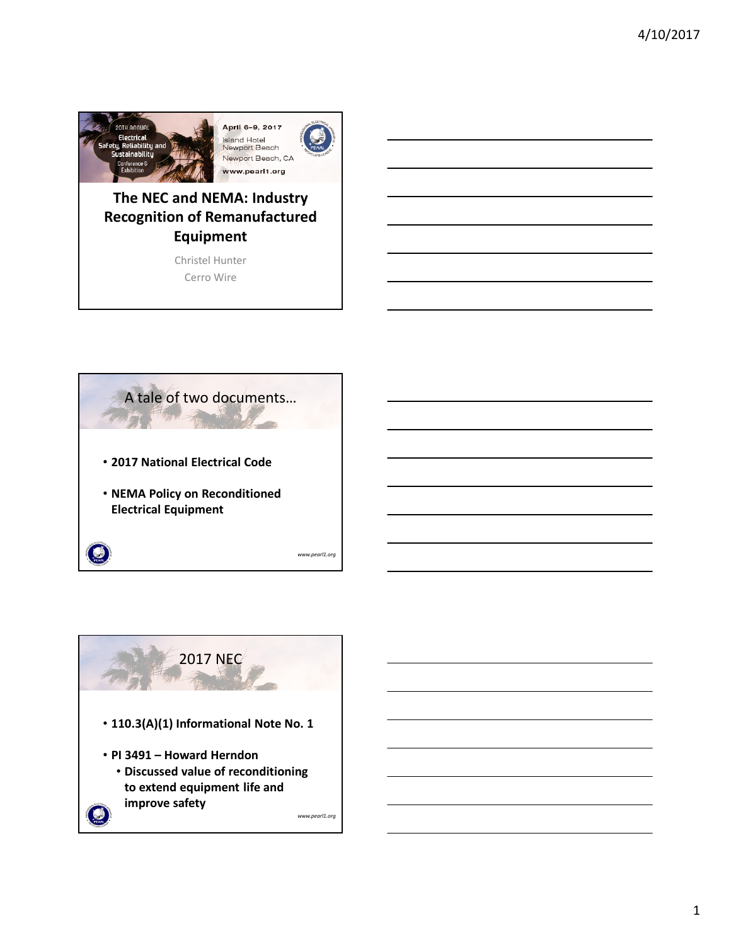

### **The NEC and NEMA: Industry Recognition of Remanufactured Equipment**

Christel Hunter Cerro Wire



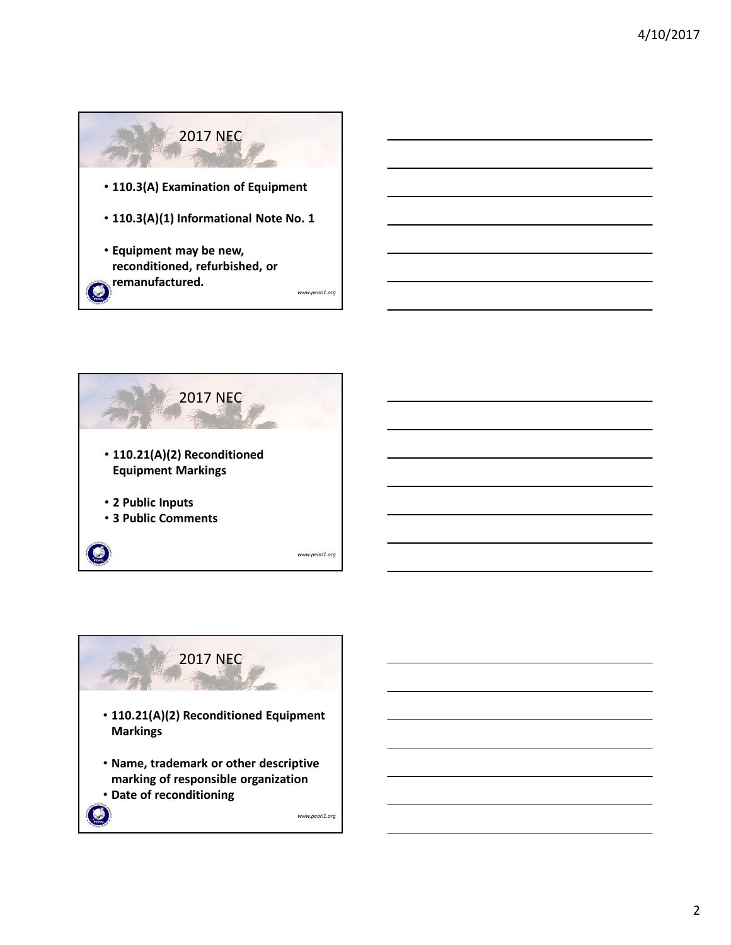





2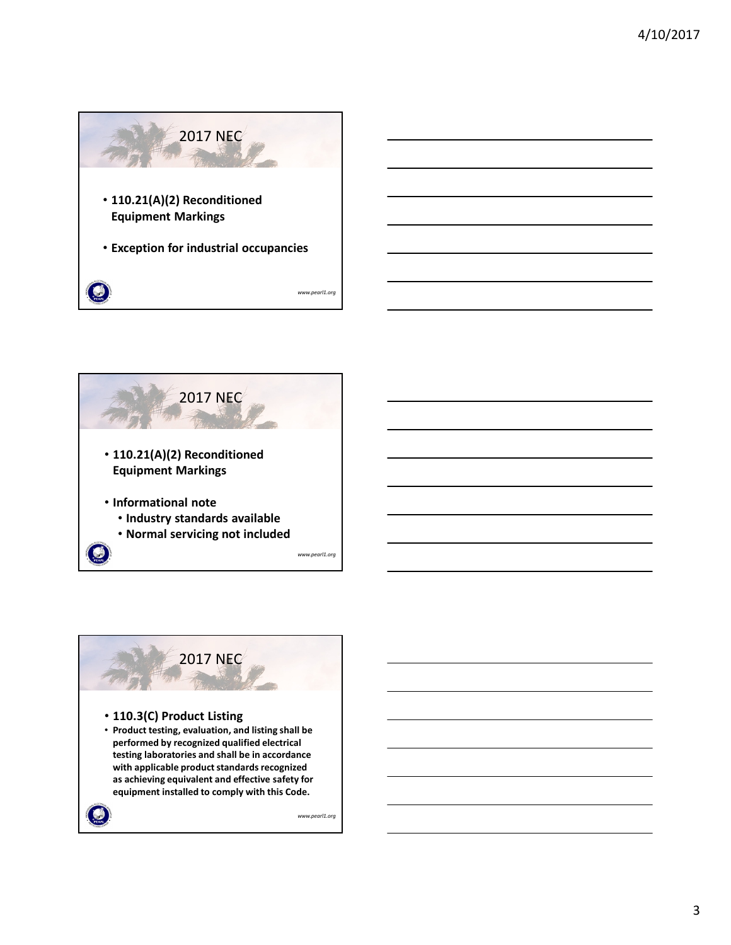





3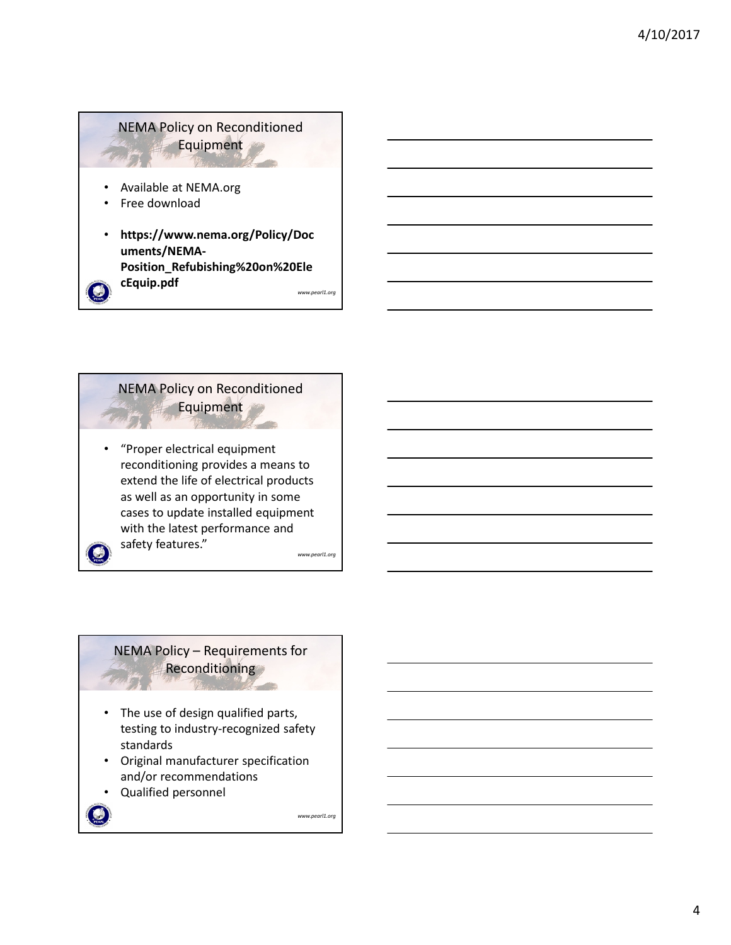## NEMA Policy on Reconditioned Equipment • Available at NEMA.org • Free download • **https://www.nema.org/Policy/Doc**

*www.pearl1.org* **uments/NEMA-Position\_Refubishing%20on%20Ele cEquip.pdf**

NEMA Policy on Reconditioned Equipment *www.pearl1.org* • "Proper electrical equipment reconditioning provides a means to extend the life of electrical products as well as an opportunity in some cases to update installed equipment with the latest performance and safety features."

#### NEMA Policy – Requirements for **Reconditioning**

- The use of design qualified parts, testing to industry-recognized safety standards
- Original manufacturer specification and/or recommendations
- Qualified personnel

*www.pearl1.org*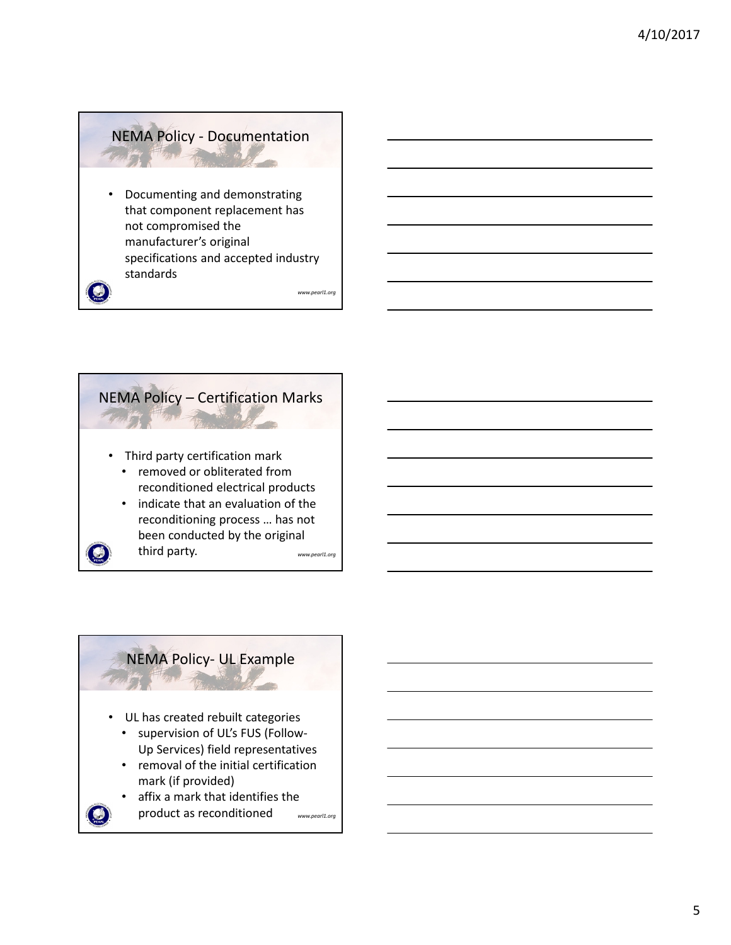# NEMA Policy - Documentation

• Documenting and demonstrating that component replacement has not compromised the manufacturer's original specifications and accepted industry standards

*www.pearl1.org*



### NEMA Policy- UL Example

- UL has created rebuilt categories
	- supervision of UL's FUS (Follow-Up Services) field representatives
	- removal of the initial certification mark (if provided)
	- *www.pearl1.org* affix a mark that identifies the product as reconditioned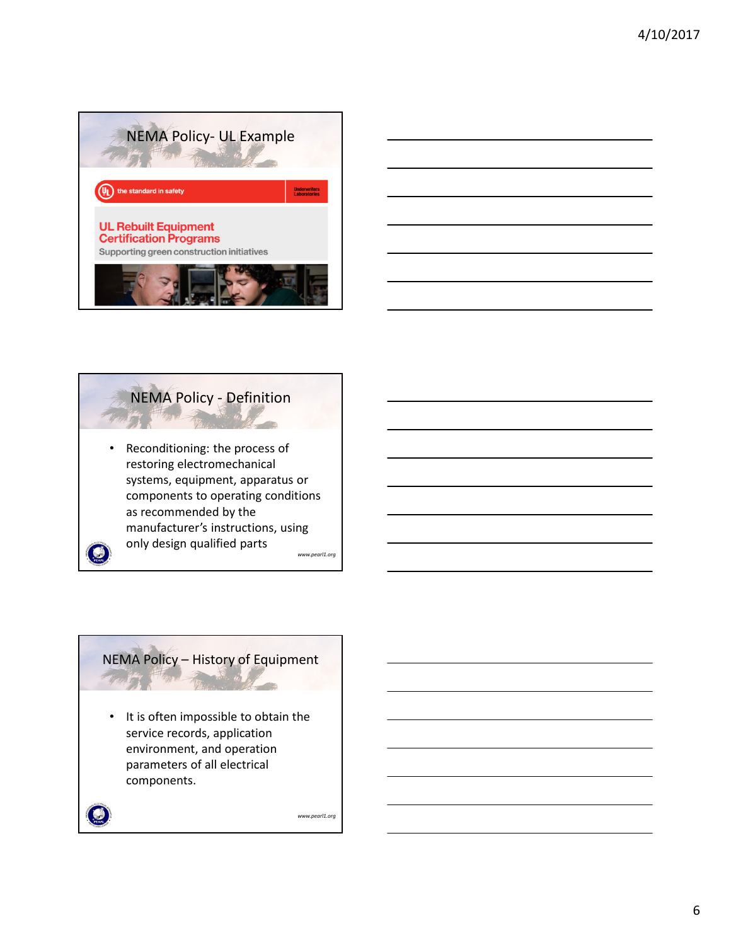





### NEMA Policy – History of Equipment

• It is often impossible to obtain the service records, application environment, and operation parameters of all electrical components.

۴

*www.pearl1.org*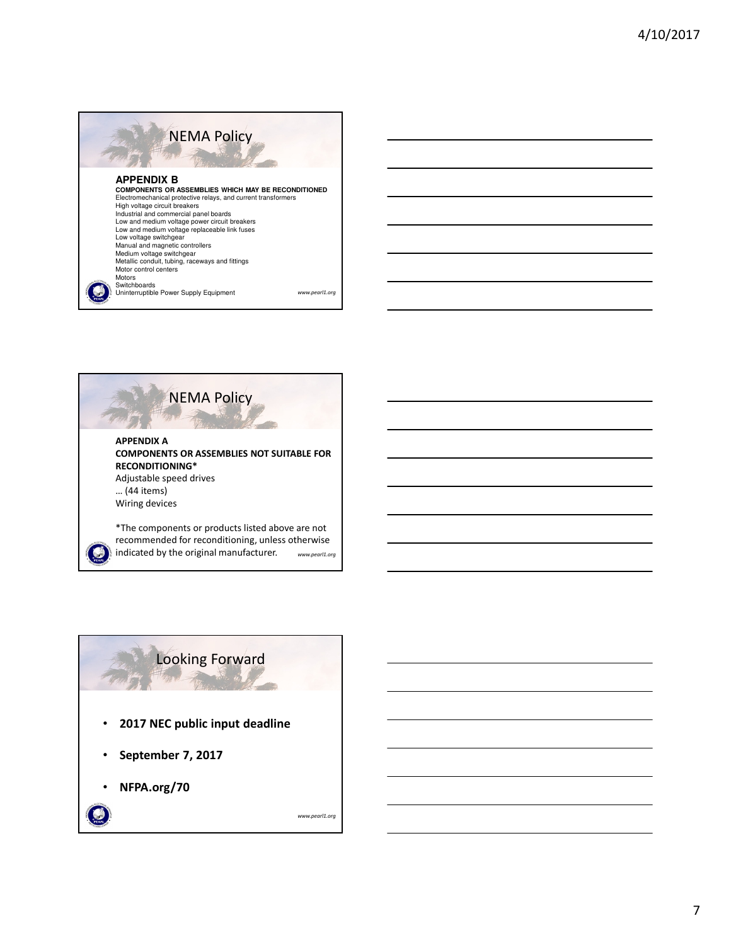

*www.pearl1.org*

Low and medium voltage replaceable link fuses Low voltage switchgear Manual and magnetic controllers Medium voltage switchgear Metallic conduit, tubing, raceways and fittings

Motor control centers Motors Switchboards

Uninterruptible Power Supply Equipment





7